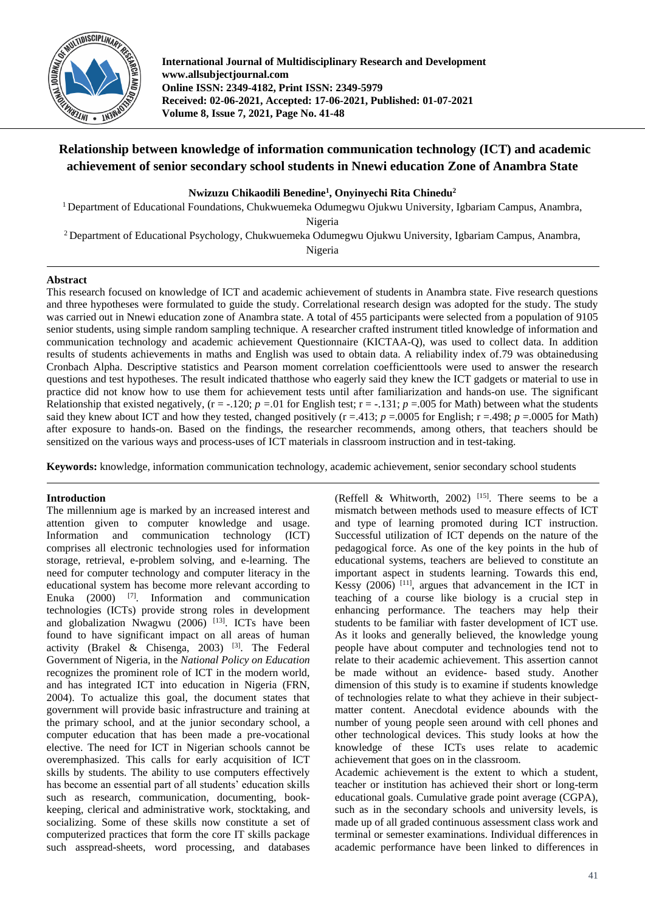

**International Journal of Multidisciplinary Research and Development www.allsubjectjournal.com Online ISSN: 2349-4182, Print ISSN: 2349-5979 Received: 02-06-2021, Accepted: 17-06-2021, Published: 01-07-2021 Volume 8, Issue 7, 2021, Page No. 41-48**

# **Relationship between knowledge of information communication technology (ICT) and academic achievement of senior secondary school students in Nnewi education Zone of Anambra State**

**Nwizuzu Chikaodili Benedine<sup>1</sup> , Onyinyechi Rita Chinedu<sup>2</sup>**

<sup>1</sup> Department of Educational Foundations, Chukwuemeka Odumegwu Ojukwu University, Igbariam Campus, Anambra,

Nigeria

<sup>2</sup>Department of Educational Psychology, Chukwuemeka Odumegwu Ojukwu University, Igbariam Campus, Anambra,

Nigeria

# **Abstract**

This research focused on knowledge of ICT and academic achievement of students in Anambra state. Five research questions and three hypotheses were formulated to guide the study. Correlational research design was adopted for the study. The study was carried out in Nnewi education zone of Anambra state. A total of 455 participants were selected from a population of 9105 senior students, using simple random sampling technique. A researcher crafted instrument titled knowledge of information and communication technology and academic achievement Questionnaire (KICTAA-Q), was used to collect data. In addition results of students achievements in maths and English was used to obtain data. A reliability index of.79 was obtainedusing Cronbach Alpha. Descriptive statistics and Pearson moment correlation coefficienttools were used to answer the research questions and test hypotheses. The result indicated thatthose who eagerly said they knew the ICT gadgets or material to use in practice did not know how to use them for achievement tests until after familiarization and hands-on use. The significant Relationship that existed negatively,  $(r = -120; p = 01$  for English test;  $r = -131; p = 005$  for Math) between what the students said they knew about ICT and how they tested, changed positively  $(r = .413; p = .0005$  for English;  $r = .498; p = .0005$  for Math) after exposure to hands-on. Based on the findings, the researcher recommends, among others, that teachers should be sensitized on the various ways and process-uses of ICT materials in classroom instruction and in test-taking.

**Keywords:** knowledge, information communication technology, academic achievement, senior secondary school students

## **Introduction**

The millennium age is marked by an increased interest and attention given to computer knowledge and usage. Information and communication technology (ICT) comprises all electronic technologies used for information storage, retrieval, e-problem solving, and e-learning. The need for computer technology and computer literacy in the educational system has become more relevant according to Enuka  $(2000)$  <sup>[7]</sup>. Information and communication technologies (ICTs) provide strong roles in development and globalization Nwagwu  $(2006)$ <sup>[13]</sup>. ICTs have been found to have significant impact on all areas of human activity (Brakel & Chisenga, 2003) [3]. The Federal Government of Nigeria, in the *National Policy on Education*  recognizes the prominent role of ICT in the modern world, and has integrated ICT into education in Nigeria (FRN, 2004). To actualize this goal, the document states that government will provide basic infrastructure and training at the primary school, and at the junior secondary school, a computer education that has been made a pre-vocational elective. The need for ICT in Nigerian schools cannot be overemphasized. This calls for early acquisition of ICT skills by students. The ability to use computers effectively has become an essential part of all students' education skills such as research, communication, documenting, bookkeeping, clerical and administrative work, stocktaking, and socializing. Some of these skills now constitute a set of computerized practices that form the core IT skills package such asspread-sheets, word processing, and databases

(Reffell & Whitworth, 2002) [15] . There seems to be a mismatch between methods used to measure effects of ICT and type of learning promoted during ICT instruction. Successful utilization of ICT depends on the nature of the pedagogical force. As one of the key points in the hub of educational systems, teachers are believed to constitute an important aspect in students learning. Towards this end, Kessy  $(2006)$  <sup>[11]</sup>, argues that advancement in the ICT in teaching of a course like biology is a crucial step in enhancing performance. The teachers may help their students to be familiar with faster development of ICT use. As it looks and generally believed, the knowledge young people have about computer and technologies tend not to relate to their academic achievement. This assertion cannot be made without an evidence- based study. Another dimension of this study is to examine if students knowledge of technologies relate to what they achieve in their subjectmatter content. Anecdotal evidence abounds with the number of young people seen around with cell phones and other technological devices. This study looks at how the knowledge of these ICTs uses relate to academic achievement that goes on in the classroom.

Academic achievement is the extent to which a student, teacher or institution has achieved their short or long-term educational goals. Cumulative grade point average (CGPA), such as in the secondary schools and university levels, is made up of all graded continuous assessment class work and terminal or semester examinations. Individual differences in academic performance have been linked to differences in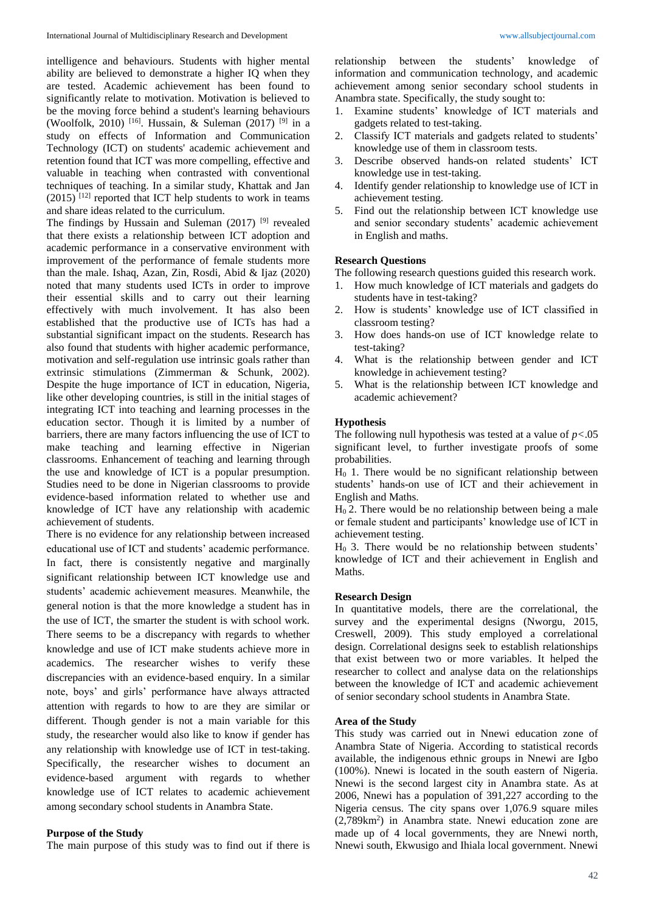intelligence and behaviours. Students with higher mental ability are believed to demonstrate a higher IQ when they are tested. Academic achievement has been found to significantly relate to motivation. Motivation is believed to be the moving force behind a student's learning behaviours (Woolfolk, 2010) <sup>[16]</sup>. Hussain, & Suleman (2017) <sup>[9]</sup> in a study on effects of Information and Communication Technology (ICT) on students' academic achievement and retention found that ICT was more compelling, effective and valuable in teaching when contrasted with conventional techniques of teaching. In a similar study, Khattak and Jan  $(2015)$ <sup>[12]</sup> reported that ICT help students to work in teams and share ideas related to the curriculum.

The findings by Hussain and Suleman  $(2017)$ <sup>[9]</sup> revealed that there exists a relationship between ICT adoption and academic performance in a conservative environment with improvement of the performance of female students more than the male. Ishaq, Azan, Zin, Rosdi, Abid & Ijaz (2020) noted that many students used ICTs in order to improve their essential skills and to carry out their learning effectively with much involvement. It has also been established that the productive use of ICTs has had a substantial significant impact on the students. Research has also found that students with higher academic performance, motivation and self-regulation use intrinsic goals rather than extrinsic stimulations (Zimmerman & Schunk, 2002). Despite the huge importance of ICT in education, Nigeria, like other developing countries, is still in the initial stages of integrating ICT into teaching and learning processes in the education sector. Though it is limited by a number of barriers, there are many factors influencing the use of ICT to make teaching and learning effective in Nigerian classrooms. Enhancement of teaching and learning through the use and knowledge of ICT is a popular presumption. Studies need to be done in Nigerian classrooms to provide evidence-based information related to whether use and knowledge of ICT have any relationship with academic achievement of students.

There is no evidence for any relationship between increased educational use of ICT and students' academic performance. In fact, there is consistently negative and marginally significant relationship between ICT knowledge use and students' academic achievement measures. Meanwhile, the general notion is that the more knowledge a student has in the use of ICT, the smarter the student is with school work. There seems to be a discrepancy with regards to whether knowledge and use of ICT make students achieve more in academics. The researcher wishes to verify these discrepancies with an evidence-based enquiry. In a similar note, boys' and girls' performance have always attracted attention with regards to how to are they are similar or different. Though gender is not a main variable for this study, the researcher would also like to know if gender has any relationship with knowledge use of ICT in test-taking. Specifically, the researcher wishes to document an evidence-based argument with regards to whether knowledge use of ICT relates to academic achievement among secondary school students in Anambra State.

## **Purpose of the Study**

The main purpose of this study was to find out if there is

relationship between the students' knowledge of information and communication technology, and academic achievement among senior secondary school students in Anambra state. Specifically, the study sought to:

- 1. Examine students' knowledge of ICT materials and gadgets related to test-taking.
- 2. Classify ICT materials and gadgets related to students' knowledge use of them in classroom tests.
- 3. Describe observed hands-on related students' ICT knowledge use in test-taking.
- 4. Identify gender relationship to knowledge use of ICT in achievement testing.
- 5. Find out the relationship between ICT knowledge use and senior secondary students' academic achievement in English and maths.

# **Research Questions**

The following research questions guided this research work.

- 1. How much knowledge of ICT materials and gadgets do students have in test-taking?
- 2. How is students' knowledge use of ICT classified in classroom testing?
- 3. How does hands-on use of ICT knowledge relate to test-taking?
- 4. What is the relationship between gender and ICT knowledge in achievement testing?
- 5. What is the relationship between ICT knowledge and academic achievement?

#### **Hypothesis**

The following null hypothesis was tested at a value of *p<*.05 significant level, to further investigate proofs of some probabilities.

 $H<sub>0</sub>$  1. There would be no significant relationship between students' hands-on use of ICT and their achievement in English and Maths.

 $H<sub>0</sub>$  2. There would be no relationship between being a male or female student and participants' knowledge use of ICT in achievement testing.

 $H<sub>0</sub>$  3. There would be no relationship between students' knowledge of ICT and their achievement in English and Maths.

## **Research Design**

In quantitative models, there are the correlational, the survey and the experimental designs (Nworgu, 2015, Creswell, 2009). This study employed a correlational design. Correlational designs seek to establish relationships that exist between two or more variables. It helped the researcher to collect and analyse data on the relationships between the knowledge of ICT and academic achievement of senior secondary school students in Anambra State.

#### **Area of the Study**

This study was carried out in Nnewi education zone of Anambra State of Nigeria. According to statistical records available, the indigenous ethnic groups in Nnewi are Igbo (100%). Nnewi is located in the south eastern of Nigeria. Nnewi is the second largest city in Anambra state. As at 2006, Nnewi has a population of 391,227 according to the Nigeria census. The city spans over 1,076.9 square miles (2,789km<sup>2</sup> ) in Anambra state. Nnewi education zone are made up of 4 local governments, they are Nnewi north, Nnewi south, Ekwusigo and Ihiala local government. Nnewi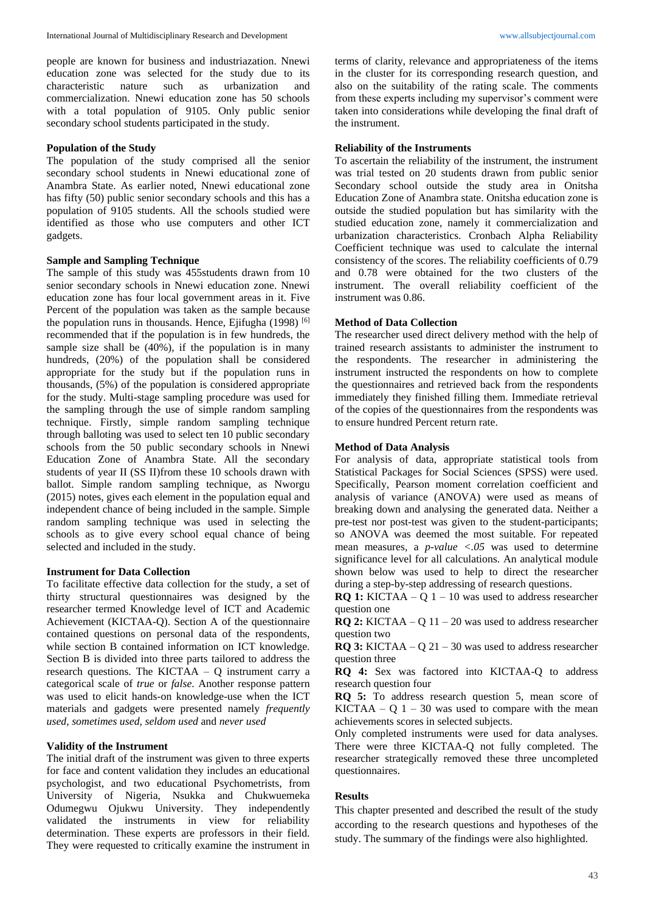people are known for business and industriazation. Nnewi education zone was selected for the study due to its characteristic nature such as urbanization and commercialization. Nnewi education zone has 50 schools with a total population of 9105. Only public senior secondary school students participated in the study.

## **Population of the Study**

The population of the study comprised all the senior secondary school students in Nnewi educational zone of Anambra State. As earlier noted, Nnewi educational zone has fifty (50) public senior secondary schools and this has a population of 9105 students. All the schools studied were identified as those who use computers and other ICT gadgets.

## **Sample and Sampling Technique**

The sample of this study was 455students drawn from 10 senior secondary schools in Nnewi education zone. Nnewi education zone has four local government areas in it. Five Percent of the population was taken as the sample because the population runs in thousands. Hence, Ejifugha (1998)<sup>[6]</sup> recommended that if the population is in few hundreds, the sample size shall be (40%), if the population is in many hundreds, (20%) of the population shall be considered appropriate for the study but if the population runs in thousands, (5%) of the population is considered appropriate for the study. Multi-stage sampling procedure was used for the sampling through the use of simple random sampling technique. Firstly, simple random sampling technique through balloting was used to select ten 10 public secondary schools from the 50 public secondary schools in Nnewi Education Zone of Anambra State. All the secondary students of year II (SS II)from these 10 schools drawn with ballot. Simple random sampling technique, as Nworgu (2015) notes, gives each element in the population equal and independent chance of being included in the sample. Simple random sampling technique was used in selecting the schools as to give every school equal chance of being selected and included in the study.

## **Instrument for Data Collection**

To facilitate effective data collection for the study, a set of thirty structural questionnaires was designed by the researcher termed Knowledge level of ICT and Academic Achievement (KICTAA-Q). Section A of the questionnaire contained questions on personal data of the respondents, while section B contained information on ICT knowledge. Section B is divided into three parts tailored to address the research questions. The KICTAA – Q instrument carry a categorical scale of *true* or *false*. Another response pattern was used to elicit hands-on knowledge-use when the ICT materials and gadgets were presented namely *frequently used, sometimes used, seldom used* and *never used*

## **Validity of the Instrument**

The initial draft of the instrument was given to three experts for face and content validation they includes an educational psychologist, and two educational Psychometrists, from University of Nigeria, Nsukka and Chukwuemeka Odumegwu Ojukwu University. They independently validated the instruments in view for reliability determination. These experts are professors in their field. They were requested to critically examine the instrument in

terms of clarity, relevance and appropriateness of the items in the cluster for its corresponding research question, and also on the suitability of the rating scale. The comments from these experts including my supervisor's comment were taken into considerations while developing the final draft of the instrument.

## **Reliability of the Instruments**

To ascertain the reliability of the instrument, the instrument was trial tested on 20 students drawn from public senior Secondary school outside the study area in Onitsha Education Zone of Anambra state. Onitsha education zone is outside the studied population but has similarity with the studied education zone, namely it commercialization and urbanization characteristics. Cronbach Alpha Reliability Coefficient technique was used to calculate the internal consistency of the scores. The reliability coefficients of 0.79 and 0.78 were obtained for the two clusters of the instrument. The overall reliability coefficient of the instrument was 0.86.

## **Method of Data Collection**

The researcher used direct delivery method with the help of trained research assistants to administer the instrument to the respondents. The researcher in administering the instrument instructed the respondents on how to complete the questionnaires and retrieved back from the respondents immediately they finished filling them. Immediate retrieval of the copies of the questionnaires from the respondents was to ensure hundred Percent return rate.

## **Method of Data Analysis**

For analysis of data, appropriate statistical tools from Statistical Packages for Social Sciences (SPSS) were used. Specifically, Pearson moment correlation coefficient and analysis of variance (ANOVA) were used as means of breaking down and analysing the generated data. Neither a pre-test nor post-test was given to the student-participants; so ANOVA was deemed the most suitable. For repeated mean measures, a *p-value <.05* was used to determine significance level for all calculations. An analytical module shown below was used to help to direct the researcher during a step-by-step addressing of research questions.

**RQ 1:** KICTAA – Q  $1 - 10$  was used to address researcher question one

**RQ 2:** KICTAA – Q 11 – 20 was used to address researcher question two

**RQ 3:** KICTAA – Q 21 – 30 was used to address researcher question three

**RQ 4:** Sex was factored into KICTAA-Q to address research question four

**RQ 5:** To address research question 5, mean score of KICTAA – Q  $1 - 30$  was used to compare with the mean achievements scores in selected subjects.

Only completed instruments were used for data analyses. There were three KICTAA-Q not fully completed. The researcher strategically removed these three uncompleted questionnaires.

## **Results**

This chapter presented and described the result of the study according to the research questions and hypotheses of the study. The summary of the findings were also highlighted.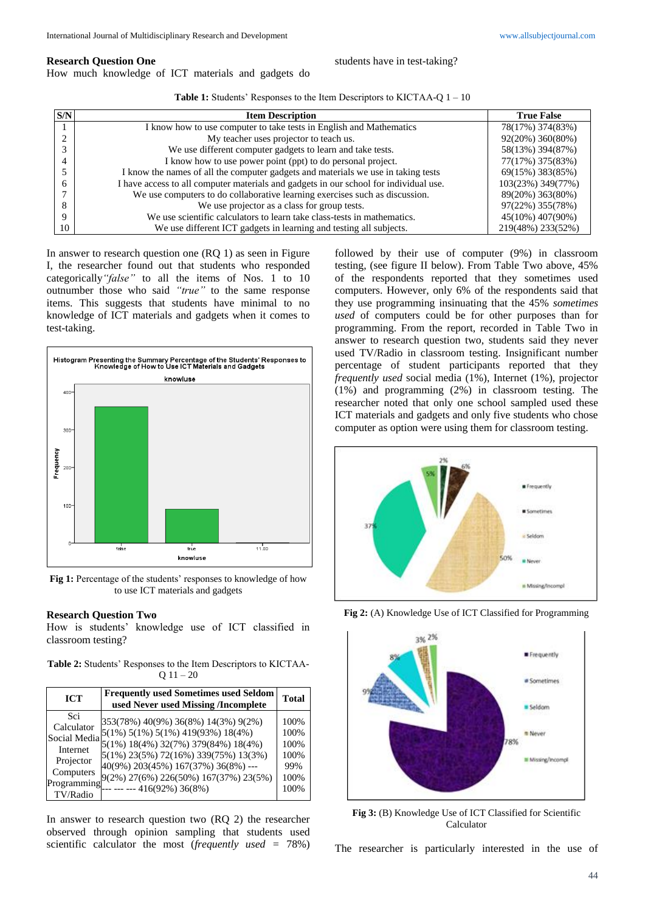#### **Research Question One**

How much knowledge of ICT materials and gadgets do

|  |  |  | <b>Table 1:</b> Students' Responses to the Item Descriptors to KICTAA-Q $1 - 10$ |
|--|--|--|----------------------------------------------------------------------------------|
|--|--|--|----------------------------------------------------------------------------------|

| S/N | <b>Item Description</b>                                                               | <b>True False</b> |
|-----|---------------------------------------------------------------------------------------|-------------------|
|     | I know how to use computer to take tests in English and Mathematics                   | 78(17%) 374(83%)  |
|     | My teacher uses projector to teach us.                                                | 92(20%) 360(80%)  |
|     | We use different computer gadgets to learn and take tests.                            | 58(13%) 394(87%)  |
|     | I know how to use power point (ppt) to do personal project.                           | 77(17%) 375(83%)  |
|     | I know the names of all the computer gadgets and materials we use in taking tests     | 69(15%) 383(85%)  |
| h   | I have access to all computer materials and gadgets in our school for individual use. | 103(23%) 349(77%) |
|     | We use computers to do collaborative learning exercises such as discussion.           | 89(20%) 363(80%)  |
| 8   | We use projector as a class for group tests.                                          | 97(22%) 355(78%)  |
|     | We use scientific calculators to learn take class-tests in mathematics.               | 45(10%) 407(90%)  |
| 10  | We use different ICT gadgets in learning and testing all subjects.                    | 219(48%) 233(52%) |

In answer to research question one (RQ 1) as seen in Figure I, the researcher found out that students who responded categorically*"false"* to all the items of Nos. 1 to 10 outnumber those who said *"true"* to the same response items. This suggests that students have minimal to no knowledge of ICT materials and gadgets when it comes to test-taking.



Fig 1: Percentage of the students' responses to knowledge of how to use ICT materials and gadgets

#### **Research Question Two**

How is students' knowledge use of ICT classified in classroom testing?

**Table 2:** Students' Responses to the Item Descriptors to KICTAA- $Q_11 - 20$ 

| <b>ICT</b>                                                                         | <b>Frequently used Sometimes used Seldom</b><br>used Never used Missing /Incomplete                                                                                                                                                                                                              | <b>Total</b>                                        |
|------------------------------------------------------------------------------------|--------------------------------------------------------------------------------------------------------------------------------------------------------------------------------------------------------------------------------------------------------------------------------------------------|-----------------------------------------------------|
| Sci<br>Calculator<br>Internet<br>Projector<br>Computers<br>Programming<br>TV/Radio | 353(78%) 40(9%) 36(8%) 14(3%) 9(2%)<br>Social Media $5(1\%) 5(1\%) 419(93\%) 18(4\%)$<br>Social Media $5(1\%) 18(4\%) 32(7\%) 379(84\%) 18(4\%)$<br>5(1%) 23(5%) 72(16%) 339(75%) 13(3%)<br>40(9%) 203(45%) 167(37%) 36(8%) ---<br>9(2%) 27(6%) 226(50%) 167(37%) 23(5%)<br>$-416(92\%) 36(8\%)$ | 100%<br>100%<br>100%<br>100%<br>99%<br>100%<br>100% |

In answer to research question two (RQ 2) the researcher observed through opinion sampling that students used scientific calculator the most (*frequently used =* 78%)

followed by their use of computer (9%) in classroom testing, (see figure II below). From Table Two above, 45% of the respondents reported that they sometimes used computers. However, only 6% of the respondents said that they use programming insinuating that the 45% *sometimes used* of computers could be for other purposes than for programming. From the report, recorded in Table Two in answer to research question two, students said they never used TV/Radio in classroom testing. Insignificant number percentage of student participants reported that they *frequently used* social media (1%), Internet (1%), projector (1%) and programming (2%) in classroom testing. The researcher noted that only one school sampled used these ICT materials and gadgets and only five students who chose computer as option were using them for classroom testing.





**Fig 3:** (B) Knowledge Use of ICT Classified for Scientific Calculator

The researcher is particularly interested in the use of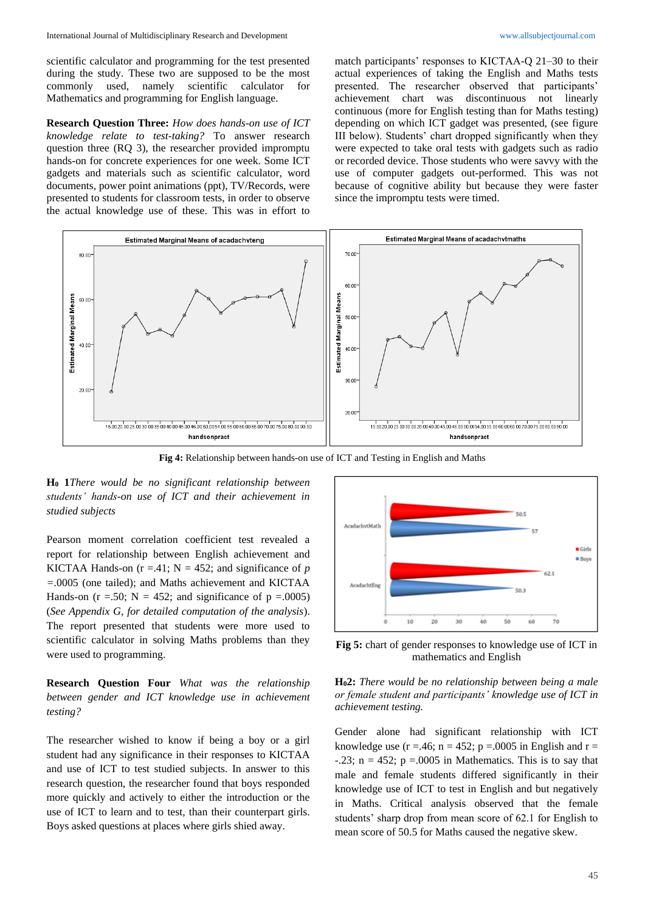scientific calculator and programming for the test presented during the study. These two are supposed to be the most commonly used, namely scientific calculator for Mathematics and programming for English language.

**Research Question Three:** *How does hands-on use of ICT knowledge relate to test-taking?* To answer research question three (RQ 3), the researcher provided impromptu hands-on for concrete experiences for one week. Some ICT gadgets and materials such as scientific calculator, word documents, power point animations (ppt), TV/Records, were presented to students for classroom tests, in order to observe the actual knowledge use of these. This was in effort to

match participants' responses to KICTAA-Q 21–30 to their actual experiences of taking the English and Maths tests presented. The researcher observed that participants' achievement chart was discontinuous not linearly continuous (more for English testing than for Maths testing) depending on which ICT gadget was presented, (see figure III below). Students' chart dropped significantly when they were expected to take oral tests with gadgets such as radio or recorded device. Those students who were savvy with the use of computer gadgets out-performed. This was not because of cognitive ability but because they were faster since the impromptu tests were timed.



**Fig 4:** Relationship between hands-on use of ICT and Testing in English and Maths

**H<sup>0</sup> 1***There would be no significant relationship between students' hands-on use of ICT and their achievement in studied subjects*

Pearson moment correlation coefficient test revealed a report for relationship between English achievement and KICTAA Hands-on  $(r = .41; N = 452;$  and significance of *p =.*0005 (one tailed); and Maths achievement and KICTAA Hands-on ( $r = .50$ ; N = 452; and significance of  $p = .0005$ ) (*See Appendix G, for detailed computation of the analysis*). The report presented that students were more used to scientific calculator in solving Maths problems than they were used to programming.

**Research Question Four** *What was the relationship between gender and ICT knowledge use in achievement testing?*

The researcher wished to know if being a boy or a girl student had any significance in their responses to KICTAA and use of ICT to test studied subjects. In answer to this research question, the researcher found that boys responded more quickly and actively to either the introduction or the use of ICT to learn and to test, than their counterpart girls. Boys asked questions at places where girls shied away.



**Fig 5:** chart of gender responses to knowledge use of ICT in mathematics and English

**H02:** *There would be no relationship between being a male or female student and participants' knowledge use of ICT in achievement testing.*

Gender alone had significant relationship with ICT knowledge use ( $r = .46$ ;  $n = 452$ ;  $p = .0005$  in English and  $r =$  $-.23$ ; n = 452; p = 0005 in Mathematics. This is to say that male and female students differed significantly in their knowledge use of ICT to test in English and but negatively in Maths. Critical analysis observed that the female students' sharp drop from mean score of 62.1 for English to mean score of 50.5 for Maths caused the negative skew.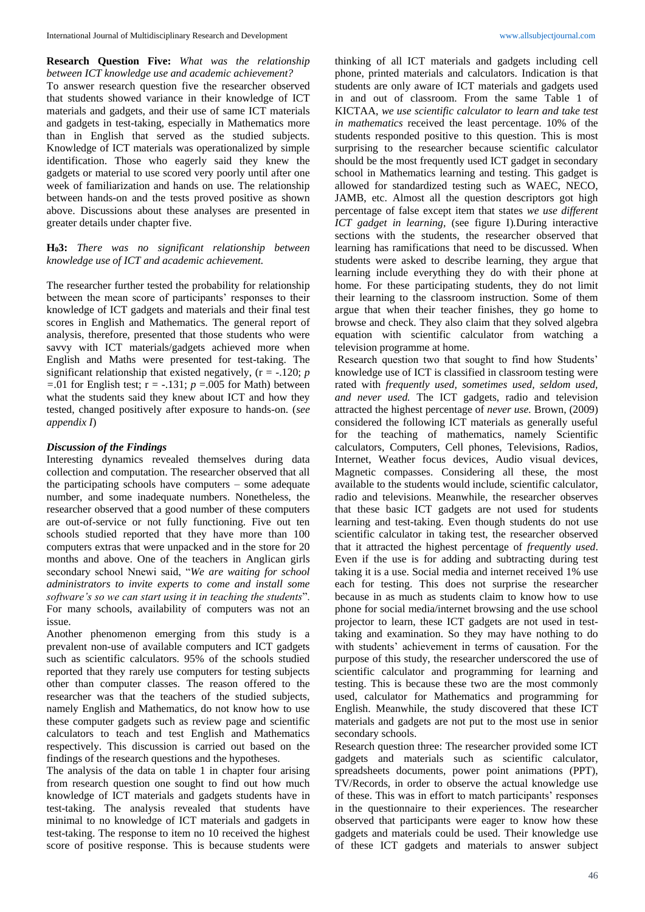**Research Question Five:** *What was the relationship between ICT knowledge use and academic achievement?*

To answer research question five the researcher observed that students showed variance in their knowledge of ICT materials and gadgets, and their use of same ICT materials and gadgets in test-taking, especially in Mathematics more than in English that served as the studied subjects. Knowledge of ICT materials was operationalized by simple identification. Those who eagerly said they knew the gadgets or material to use scored very poorly until after one week of familiarization and hands on use. The relationship between hands-on and the tests proved positive as shown above. Discussions about these analyses are presented in greater details under chapter five.

## **H03:** *There was no significant relationship between knowledge use of ICT and academic achievement.*

The researcher further tested the probability for relationship between the mean score of participants' responses to their knowledge of ICT gadgets and materials and their final test scores in English and Mathematics. The general report of analysis, therefore, presented that those students who were savvy with ICT materials/gadgets achieved more when English and Maths were presented for test-taking. The significant relationship that existed negatively, (r = -.120; *p*   $=$ .01 for English test;  $r = -.131$ ;  $p = .005$  for Math) between what the students said they knew about ICT and how they tested, changed positively after exposure to hands-on. (*see appendix I*)

## *Discussion of the Findings*

Interesting dynamics revealed themselves during data collection and computation. The researcher observed that all the participating schools have computers – some adequate number, and some inadequate numbers. Nonetheless, the researcher observed that a good number of these computers are out-of-service or not fully functioning. Five out ten schools studied reported that they have more than 100 computers extras that were unpacked and in the store for 20 months and above. One of the teachers in Anglican girls secondary school Nnewi said, "*We are waiting for school administrators to invite experts to come and install some software's so we can start using it in teaching the students*". For many schools, availability of computers was not an issue.

Another phenomenon emerging from this study is a prevalent non-use of available computers and ICT gadgets such as scientific calculators. 95% of the schools studied reported that they rarely use computers for testing subjects other than computer classes. The reason offered to the researcher was that the teachers of the studied subjects, namely English and Mathematics, do not know how to use these computer gadgets such as review page and scientific calculators to teach and test English and Mathematics respectively. This discussion is carried out based on the findings of the research questions and the hypotheses.

The analysis of the data on table 1 in chapter four arising from research question one sought to find out how much knowledge of ICT materials and gadgets students have in test-taking. The analysis revealed that students have minimal to no knowledge of ICT materials and gadgets in test-taking. The response to item no 10 received the highest score of positive response. This is because students were

thinking of all ICT materials and gadgets including cell phone, printed materials and calculators. Indication is that students are only aware of ICT materials and gadgets used in and out of classroom. From the same Table 1 of KICTAA, *we use scientific calculator to learn and take test in mathematics* received the least percentage. 10% of the students responded positive to this question. This is most surprising to the researcher because scientific calculator should be the most frequently used ICT gadget in secondary school in Mathematics learning and testing. This gadget is allowed for standardized testing such as WAEC, NECO, JAMB, etc. Almost all the question descriptors got high percentage of false except item that states *we use different ICT gadget in learning,* (see figure I)*.*During interactive sections with the students, the researcher observed that learning has ramifications that need to be discussed. When students were asked to describe learning, they argue that learning include everything they do with their phone at home. For these participating students, they do not limit their learning to the classroom instruction. Some of them argue that when their teacher finishes, they go home to browse and check. They also claim that they solved algebra equation with scientific calculator from watching a television programme at home.

Research question two that sought to find how Students' knowledge use of ICT is classified in classroom testing were rated with *frequently used, sometimes used, seldom used, and never used.* The ICT gadgets, radio and television attracted the highest percentage of *never use.* Brown, (2009) considered the following ICT materials as generally useful for the teaching of mathematics, namely Scientific calculators, Computers, Cell phones, Televisions, Radios, Internet, Weather focus devices, Audio visual devices, Magnetic compasses. Considering all these, the most available to the students would include, scientific calculator, radio and televisions. Meanwhile, the researcher observes that these basic ICT gadgets are not used for students learning and test-taking. Even though students do not use scientific calculator in taking test, the researcher observed that it attracted the highest percentage of *frequently used*. Even if the use is for adding and subtracting during test taking it is a use. Social media and internet received 1% use each for testing. This does not surprise the researcher because in as much as students claim to know how to use phone for social media/internet browsing and the use school projector to learn, these ICT gadgets are not used in testtaking and examination. So they may have nothing to do with students' achievement in terms of causation. For the purpose of this study, the researcher underscored the use of scientific calculator and programming for learning and testing. This is because these two are the most commonly used, calculator for Mathematics and programming for English. Meanwhile, the study discovered that these ICT materials and gadgets are not put to the most use in senior secondary schools.

Research question three: The researcher provided some ICT gadgets and materials such as scientific calculator, spreadsheets documents, power point animations (PPT), TV/Records, in order to observe the actual knowledge use of these. This was in effort to match participants' responses in the questionnaire to their experiences. The researcher observed that participants were eager to know how these gadgets and materials could be used. Their knowledge use of these ICT gadgets and materials to answer subject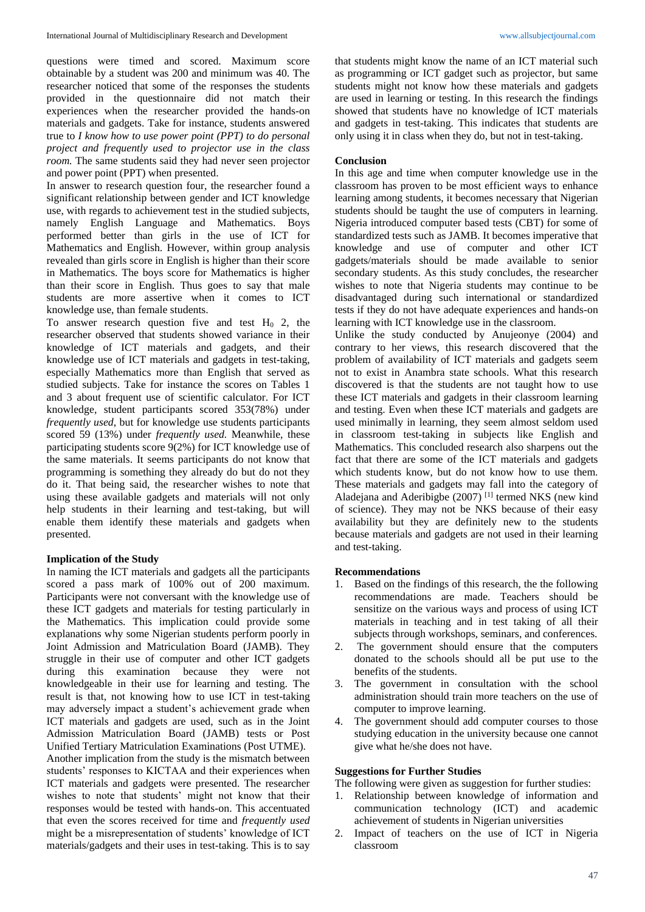questions were timed and scored. Maximum score obtainable by a student was 200 and minimum was 40. The researcher noticed that some of the responses the students provided in the questionnaire did not match their experiences when the researcher provided the hands-on materials and gadgets. Take for instance, students answered true to *I know how to use power point (PPT) to do personal project and frequently used to projector use in the class room.* The same students said they had never seen projector and power point (PPT) when presented.

In answer to research question four, the researcher found a significant relationship between gender and ICT knowledge use, with regards to achievement test in the studied subjects, namely English Language and Mathematics. Boys performed better than girls in the use of ICT for Mathematics and English. However, within group analysis revealed than girls score in English is higher than their score in Mathematics. The boys score for Mathematics is higher than their score in English. Thus goes to say that male students are more assertive when it comes to ICT knowledge use, than female students.

To answer research question five and test  $H_0$  2, the researcher observed that students showed variance in their knowledge of ICT materials and gadgets, and their knowledge use of ICT materials and gadgets in test-taking, especially Mathematics more than English that served as studied subjects. Take for instance the scores on Tables 1 and 3 about frequent use of scientific calculator. For ICT knowledge, student participants scored 353(78%) under *frequently used*, but for knowledge use students participants scored 59 (13%) under *frequently used.* Meanwhile, these participating students score 9(2%) for ICT knowledge use of the same materials. It seems participants do not know that programming is something they already do but do not they do it. That being said, the researcher wishes to note that using these available gadgets and materials will not only help students in their learning and test-taking, but will enable them identify these materials and gadgets when presented.

## **Implication of the Study**

In naming the ICT materials and gadgets all the participants scored a pass mark of 100% out of 200 maximum. Participants were not conversant with the knowledge use of these ICT gadgets and materials for testing particularly in the Mathematics. This implication could provide some explanations why some Nigerian students perform poorly in Joint Admission and Matriculation Board (JAMB). They struggle in their use of computer and other ICT gadgets during this examination because they were not knowledgeable in their use for learning and testing. The result is that, not knowing how to use ICT in test-taking may adversely impact a student's achievement grade when ICT materials and gadgets are used, such as in the Joint Admission Matriculation Board (JAMB) tests or Post Unified Tertiary Matriculation Examinations (Post UTME). Another implication from the study is the mismatch between students' responses to KICTAA and their experiences when ICT materials and gadgets were presented. The researcher wishes to note that students' might not know that their responses would be tested with hands-on. This accentuated that even the scores received for time and *frequently used* might be a misrepresentation of students' knowledge of ICT materials/gadgets and their uses in test-taking. This is to say

that students might know the name of an ICT material such as programming or ICT gadget such as projector, but same students might not know how these materials and gadgets are used in learning or testing. In this research the findings showed that students have no knowledge of ICT materials and gadgets in test-taking. This indicates that students are only using it in class when they do, but not in test-taking.

## **Conclusion**

In this age and time when computer knowledge use in the classroom has proven to be most efficient ways to enhance learning among students, it becomes necessary that Nigerian students should be taught the use of computers in learning. Nigeria introduced computer based tests (CBT) for some of standardized tests such as JAMB. It becomes imperative that knowledge and use of computer and other ICT gadgets/materials should be made available to senior secondary students. As this study concludes, the researcher wishes to note that Nigeria students may continue to be disadvantaged during such international or standardized tests if they do not have adequate experiences and hands-on learning with ICT knowledge use in the classroom.

Unlike the study conducted by Anujeonye (2004) and contrary to her views, this research discovered that the problem of availability of ICT materials and gadgets seem not to exist in Anambra state schools. What this research discovered is that the students are not taught how to use these ICT materials and gadgets in their classroom learning and testing. Even when these ICT materials and gadgets are used minimally in learning, they seem almost seldom used in classroom test-taking in subjects like English and Mathematics. This concluded research also sharpens out the fact that there are some of the ICT materials and gadgets which students know, but do not know how to use them. These materials and gadgets may fall into the category of Aladejana and Aderibigbe (2007) [1] termed NKS (new kind of science). They may not be NKS because of their easy availability but they are definitely new to the students because materials and gadgets are not used in their learning and test-taking.

## **Recommendations**

- 1. Based on the findings of this research, the the following recommendations are made. Teachers should be sensitize on the various ways and process of using ICT materials in teaching and in test taking of all their subjects through workshops, seminars, and conferences.
- 2. The government should ensure that the computers donated to the schools should all be put use to the benefits of the students.
- 3. The government in consultation with the school administration should train more teachers on the use of computer to improve learning.
- 4. The government should add computer courses to those studying education in the university because one cannot give what he/she does not have.

## **Suggestions for Further Studies**

The following were given as suggestion for further studies:

- 1. Relationship between knowledge of information and communication technology (ICT) and academic achievement of students in Nigerian universities
- 2. Impact of teachers on the use of ICT in Nigeria classroom